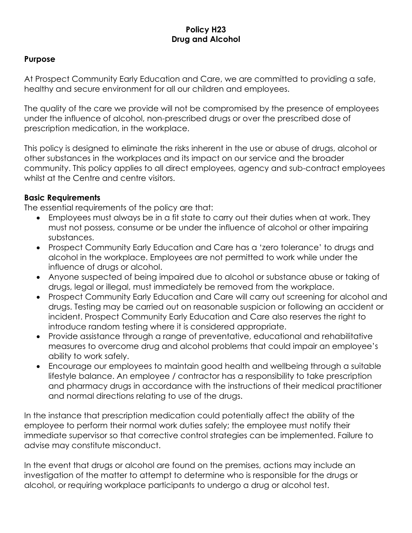#### **Policy H23 Drug and Alcohol**

#### **Purpose**

At Prospect Community Early Education and Care, we are committed to providing a safe, healthy and secure environment for all our children and employees.

The quality of the care we provide will not be compromised by the presence of employees under the influence of alcohol, non-prescribed drugs or over the prescribed dose of prescription medication, in the workplace.

This policy is designed to eliminate the risks inherent in the use or abuse of drugs, alcohol or other substances in the workplaces and its impact on our service and the broader community. This policy applies to all direct employees, agency and sub-contract employees whilst at the Centre and centre visitors.

#### **Basic Requirements**

The essential requirements of the policy are that:

- Employees must always be in a fit state to carry out their duties when at work. They must not possess, consume or be under the influence of alcohol or other impairing substances.
- Prospect Community Early Education and Care has a 'zero tolerance' to drugs and alcohol in the workplace. Employees are not permitted to work while under the influence of drugs or alcohol.
- Anyone suspected of being impaired due to alcohol or substance abuse or taking of drugs, legal or illegal, must immediately be removed from the workplace.
- Prospect Community Early Education and Care will carry out screening for alcohol and drugs. Testing may be carried out on reasonable suspicion or following an accident or incident. Prospect Community Early Education and Care also reserves the right to introduce random testing where it is considered appropriate.
- Provide assistance through a range of preventative, educational and rehabilitative measures to overcome drug and alcohol problems that could impair an employee's ability to work safely.
- Encourage our employees to maintain good health and wellbeing through a suitable lifestyle balance. An employee / contractor has a responsibility to take prescription and pharmacy drugs in accordance with the instructions of their medical practitioner and normal directions relating to use of the drugs.

In the instance that prescription medication could potentially affect the ability of the employee to perform their normal work duties safely; the employee must notify their immediate supervisor so that corrective control strategies can be implemented. Failure to advise may constitute misconduct.

In the event that drugs or alcohol are found on the premises, actions may include an investigation of the matter to attempt to determine who is responsible for the drugs or alcohol, or requiring workplace participants to undergo a drug or alcohol test.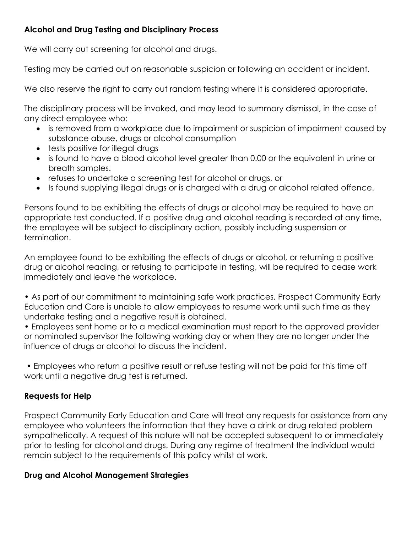### **Alcohol and Drug Testing and Disciplinary Process**

We will carry out screening for alcohol and drugs.

Testing may be carried out on reasonable suspicion or following an accident or incident.

We also reserve the right to carry out random testing where it is considered appropriate.

The disciplinary process will be invoked, and may lead to summary dismissal, in the case of any direct employee who:

- is removed from a workplace due to impairment or suspicion of impairment caused by substance abuse, drugs or alcohol consumption
- tests positive for illegal drugs
- is found to have a blood alcohol level greater than 0.00 or the equivalent in urine or breath samples.
- refuses to undertake a screening test for alcohol or drugs, or
- Is found supplying illegal drugs or is charged with a drug or alcohol related offence.

Persons found to be exhibiting the effects of drugs or alcohol may be required to have an appropriate test conducted. If a positive drug and alcohol reading is recorded at any time, the employee will be subject to disciplinary action, possibly including suspension or termination.

An employee found to be exhibiting the effects of drugs or alcohol, or returning a positive drug or alcohol reading, or refusing to participate in testing, will be required to cease work immediately and leave the workplace.

• As part of our commitment to maintaining safe work practices, Prospect Community Early Education and Care is unable to allow employees to resume work until such time as they undertake testing and a negative result is obtained.

• Employees sent home or to a medical examination must report to the approved provider or nominated supervisor the following working day or when they are no longer under the influence of drugs or alcohol to discuss the incident.

• Employees who return a positive result or refuse testing will not be paid for this time off work until a negative drug test is returned.

## **Requests for Help**

Prospect Community Early Education and Care will treat any requests for assistance from any employee who volunteers the information that they have a drink or drug related problem sympathetically. A request of this nature will not be accepted subsequent to or immediately prior to testing for alcohol and drugs. During any regime of treatment the individual would remain subject to the requirements of this policy whilst at work.

### **Drug and Alcohol Management Strategies**